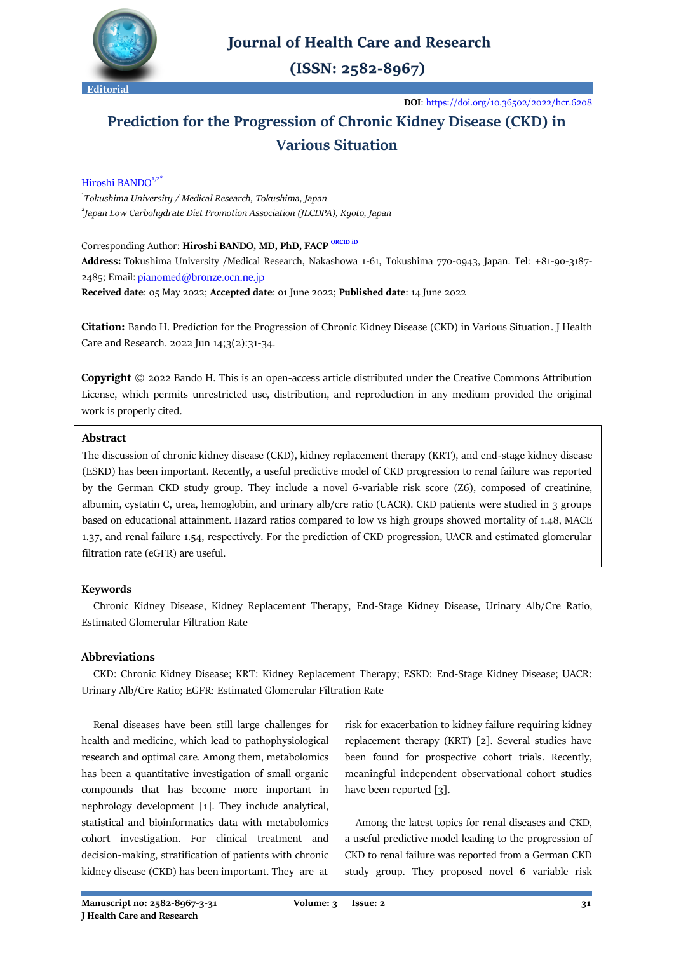

## **Journal of Health Care and Research**

 $(ISSN: 2582-8967)$ 

**DOI**[: https://doi.org/10.36502/2022/hcr.6208](https://doi.org/10.36502/2022/hcr.6208)

# **Prediction for the Progression of Chronic Kidney Disease (CKD) in Various Situation**

### Hiroshi BANDO<sup>1,2<sup>1</sup></sup>

1 *[Tokushima University](https://www.tokushima-u.ac.jp/english/) / Medical Research, Tokushima, Japan* 2 *Japan Low Carbohydrate Diet Promotion Association (JLCDPA), Kyoto, Japan*

Corresponding Author: **Hiroshi BANDO, MD, PhD, FACP [ORCID iD](https://orcid.org/0000-0002-6304-0224)**

**Address:** Tokushima University /Medical Research, Nakashowa 1-61, Tokushima 770-0943, Japan. Tel: +81-90-3187- 2485; Email: pianomed@bronze.ocn.ne.jp

**Received date**: 05 May 2022; **Accepted date**: 01 June 2022; **Published date**: 14 June 2022

**Citation:** Bando H. Prediction for the Progression of Chronic Kidney Disease (CKD) in Various Situation. J Health Care and Research. 2022 Jun 14;3(2):31-34.

**Copyright** © 2022 Bando H. This is an open-access article distributed under the Creative Commons Attribution License, which permits unrestricted use, distribution, and reproduction in any medium provided the original work is properly cited.

#### **Abstract**

The discussion of chronic kidney disease (CKD), kidney replacement therapy (KRT), and end-stage kidney disease (ESKD) has been important. Recently, a useful predictive model of CKD progression to renal failure was reported by the German CKD study group. They include a novel 6-variable risk score (Z6), composed of creatinine, albumin, cystatin C, urea, hemoglobin, and urinary alb/cre ratio (UACR). CKD patients were studied in 3 groups based on educational attainment. Hazard ratios compared to low vs high groups showed mortality of 1.48, MACE 1.37, and renal failure 1.54, respectively. For the prediction of CKD progression, UACR and estimated glomerular filtration rate (eGFR) are useful.

#### **Keywords**

 Chronic Kidney Disease, Kidney Replacement Therapy, End-Stage Kidney Disease, Urinary Alb/Cre Ratio, Estimated Glomerular Filtration Rate

#### **Abbreviations**

 CKD: Chronic Kidney Disease; KRT: Kidney Replacement Therapy; ESKD: End-Stage Kidney Disease; UACR: Urinary Alb/Cre Ratio; EGFR: Estimated Glomerular Filtration Rate

 Renal diseases have been still large challenges for health and medicine, which lead to pathophysiological research and optimal care. Among them, metabolomics has been a quantitative investigation of small organic compounds that has become more important in nephrology development [1]. They include analytical, statistical and bioinformatics data with metabolomics cohort investigation. For clinical treatment and decision-making, stratification of patients with chronic kidney disease (CKD) has been important. They are at

risk for exacerbation to kidney failure requiring kidney replacement therapy (KRT) [2]. Several studies have been found for prospective cohort trials. Recently, meaningful independent observational cohort studies have been reported [3].

 Among the latest topics for renal diseases and CKD, a useful predictive model leading to the progression of CKD to renal failure was reported from a German CKD study group. They proposed novel 6 variable risk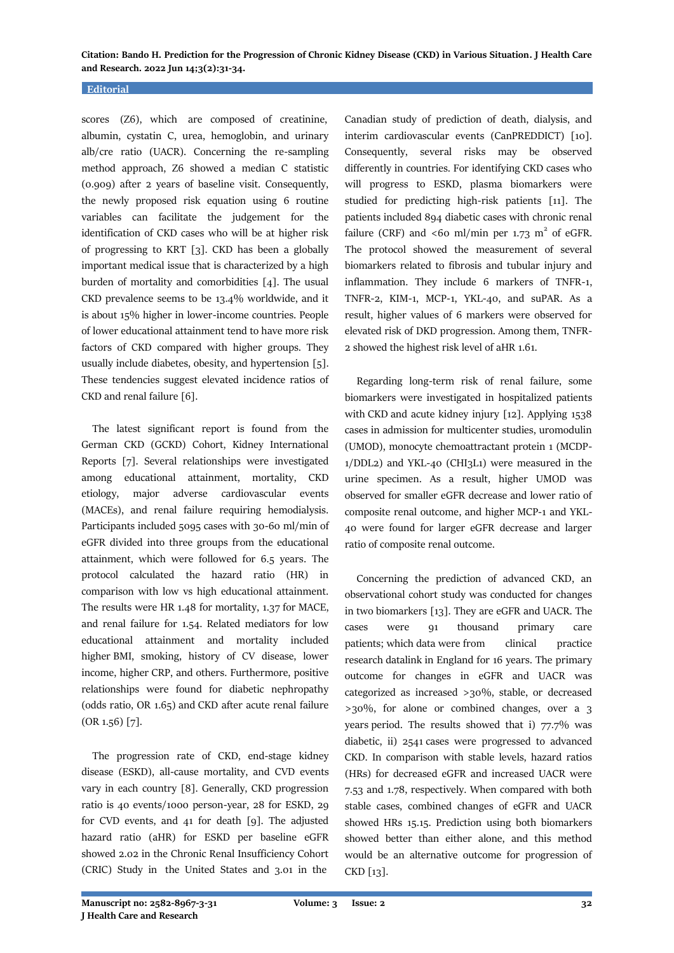**Citation: Bando H. Prediction for the Progression of Chronic Kidney Disease (CKD) in Various Situation. J Health Care and Research. 2022 Jun 14;3(2):31-34.**

#### **Editorial**

scores (Z6), which are composed of creatinine, albumin, cystatin C, urea, hemoglobin, and urinary alb/cre ratio (UACR). Concerning the re-sampling method approach, Z6 showed a median C statistic (0.909) after 2 years of baseline visit. Consequently, the newly proposed risk equation using 6 routine variables can facilitate the judgement for the identification of CKD cases who will be at higher risk of progressing to KRT [3]. CKD has been a globally important medical issue that is characterized by a high burden of mortality and comorbidities [4]. The usual CKD prevalence seems to be 13.4% worldwide, and it is about 15% higher in lower-income countries. People of lower educational attainment tend to have more risk factors of CKD compared with higher groups. They usually include diabetes, obesity, and hypertension [5]. These tendencies suggest elevated incidence ratios of CKD and renal failure [6].

 The latest significant report is found from the German CKD (GCKD) Cohort, Kidney International Reports [7]. Several relationships were investigated among educational attainment, mortality, CKD etiology, major adverse cardiovascular events (MACEs), and renal failure requiring hemodialysis. Participants included 5095 cases with 30-60 ml/min of eGFR divided into three groups from the educational attainment, which were followed for 6.5 years. The protocol calculated the hazard ratio (HR) in comparison with low vs high educational attainment. The results were HR 1.48 for mortality, 1.37 for MACE, and renal failure for 1.54. Related mediators for low educational attainment and mortality included higher BMI, smoking, history of CV disease, lower income, higher CRP, and others. Furthermore, positive relationships were found for diabetic nephropathy (odds ratio, OR 1.65) and CKD after acute renal failure (OR 1.56) [7].

 The progression rate of CKD, end-stage kidney disease (ESKD), all-cause mortality, and CVD events vary in each country [8]. Generally, CKD progression ratio is 40 events/1000 person-year, 28 for ESKD, 29 for CVD events, and 41 for death [9]. The adjusted hazard ratio (aHR) for ESKD per baseline eGFR showed 2.02 in the Chronic Renal Insufficiency Cohort (CRIC) Study in the United States and 3.01 in the Canadian study of prediction of death, dialysis, and interim cardiovascular events (CanPREDDICT) [10]. Consequently, several risks may be observed differently in countries. For identifying CKD cases who will progress to ESKD, plasma biomarkers were studied for predicting high-risk patients [11]. The patients included 894 diabetic cases with chronic renal failure (CRF) and <60 ml/min per  $1.73 \text{ m}^2$  of eGFR. The protocol showed the measurement of several biomarkers related to fibrosis and tubular injury and inflammation. They include 6 markers of TNFR-1, TNFR-2, KIM-1, MCP-1, YKL-40, and suPAR. As a result, higher values of 6 markers were observed for elevated risk of DKD progression. Among them, TNFR-2 showed the highest risk level of aHR 1.61.

 Regarding long-term risk of renal failure, some biomarkers were investigated in hospitalized patients with CKD and acute kidney injury [12]. Applying 1538 cases in admission for multicenter studies, uromodulin (UMOD), monocyte chemoattractant protein 1 (MCDP-1/DDL2) and YKL-40 (CHI3L1) were measured in the urine specimen. As a result, higher UMOD was observed for smaller eGFR decrease and lower ratio of composite renal outcome, and higher MCP-1 and YKL-40 were found for larger eGFR decrease and larger ratio of composite renal outcome.

 Concerning the prediction of advanced CKD, an observational cohort study was conducted for changes in two biomarkers [13]. They are eGFR and UACR. The cases were 91 thousand primary care patients; which data were from clinical practice research datalink in England for 16 years. The primary outcome for changes in eGFR and UACR was categorized as increased >30%, stable, or decreased >30%, for alone or combined changes, over a 3 years period. The results showed that i)  $77.7\%$  was diabetic, ii) 2541 cases were progressed to advanced CKD. In comparison with stable levels, hazard ratios (HRs) for decreased eGFR and increased UACR were 7.53 and 1.78, respectively. When compared with both stable cases, combined changes of eGFR and UACR showed HRs 15.15. Prediction using both biomarkers showed better than either alone, and this method would be an alternative outcome for progression of CKD [13].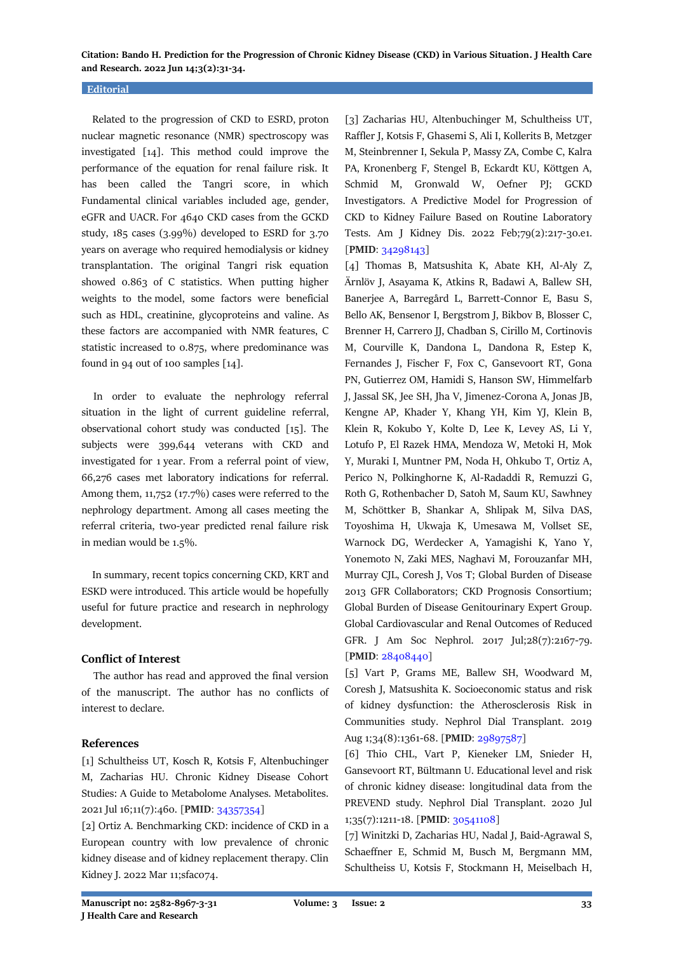**Citation: Bando H. Prediction for the Progression of Chronic Kidney Disease (CKD) in Various Situation. J Health Care and Research. 2022 Jun 14;3(2):31-34.**

#### **Editorial**

 Related to the progression of CKD to ESRD, proton nuclear magnetic resonance (NMR) spectroscopy was investigated [14]. This method could improve the performance of the equation for renal failure risk. It has been called the Tangri score, in which Fundamental clinical variables included age, gender, eGFR and UACR. For 4640 CKD cases from the GCKD study, 185 cases (3.99%) developed to ESRD for 3.70 years on average who required hemodialysis or kidney transplantation. The original Tangri risk equation showed 0.863 of C statistics. When putting higher weights to the model, some factors were beneficial such as HDL, creatinine, glycoproteins and valine. As these factors are accompanied with NMR features, C statistic increased to 0.875, where predominance was found in 94 out of 100 samples [14].

 In order to evaluate the nephrology referral situation in the light of current guideline referral, observational cohort study was conducted [15]. The subjects were 399,644 veterans with CKD and investigated for 1 year. From a referral point of view, 66,276 cases met laboratory indications for referral. Among them, 11,752 (17.7%) cases were referred to the nephrology department. Among all cases meeting the referral criteria, two-year predicted renal failure risk in median would be 1.5%.

 In summary, recent topics concerning CKD, KRT and ESKD were introduced. This article would be hopefully useful for future practice and research in nephrology development.

#### **Conflict of Interest**

 The author has read and approved the final version of the manuscript. The author has no conflicts of interest to declare.

#### **References**

[1] Schultheiss UT, Kosch R, Kotsis F, Altenbuchinger M, Zacharias HU. Chronic Kidney Disease Cohort Studies: A Guide to Metabolome Analyses. Metabolites. 2021 Jul 16;11(7):460. [**PMID**[: 34357354\]](https://pubmed.ncbi.nlm.nih.gov/34357354/)

[2] Ortiz A. Benchmarking CKD: incidence of CKD in a European country with low prevalence of chronic kidney disease and of kidney replacement therapy. Clin Kidney J. 2022 Mar 11;sfac074.

[3] Zacharias HU, Altenbuchinger M, Schultheiss UT, Raffler J, Kotsis F, Ghasemi S, Ali I, Kollerits B, Metzger M, Steinbrenner I, Sekula P, Massy ZA, Combe C, Kalra PA, Kronenberg F, Stengel B, Eckardt KU, Köttgen A, Schmid M, Gronwald W, Oefner PJ; GCKD Investigators. A Predictive Model for Progression of CKD to Kidney Failure Based on Routine Laboratory Tests. Am J Kidney Dis. 2022 Feb;79(2):217-30.e1. [**PMID**: [34298143\]](https://pubmed.ncbi.nlm.nih.gov/34298143/)

[4] Thomas B, Matsushita K, Abate KH, Al-Aly Z, Ärnlöv J, Asayama K, Atkins R, Badawi A, Ballew SH, Banerjee A, Barregård L, Barrett-Connor E, Basu S, Bello AK, Bensenor I, Bergstrom J, Bikbov B, Blosser C, Brenner H, Carrero JJ, Chadban S, Cirillo M, Cortinovis M, Courville K, Dandona L, Dandona R, Estep K, Fernandes J, Fischer F, Fox C, Gansevoort RT, Gona PN, Gutierrez OM, Hamidi S, Hanson SW, Himmelfarb J, Jassal SK, Jee SH, Jha V, Jimenez-Corona A, Jonas JB, Kengne AP, Khader Y, Khang YH, Kim YJ, Klein B, Klein R, Kokubo Y, Kolte D, Lee K, Levey AS, Li Y, Lotufo P, El Razek HMA, Mendoza W, Metoki H, Mok Y, Muraki I, Muntner PM, Noda H, Ohkubo T, Ortiz A, Perico N, Polkinghorne K, Al-Radaddi R, Remuzzi G, Roth G, Rothenbacher D, Satoh M, Saum KU, Sawhney M, Schöttker B, Shankar A, Shlipak M, Silva DAS, Toyoshima H, Ukwaja K, Umesawa M, Vollset SE, Warnock DG, Werdecker A, Yamagishi K, Yano Y, Yonemoto N, Zaki MES, Naghavi M, Forouzanfar MH, Murray CJL, Coresh J, Vos T; Global Burden of Disease 2013 GFR Collaborators; CKD Prognosis Consortium; Global Burden of Disease Genitourinary Expert Group. Global Cardiovascular and Renal Outcomes of Reduced GFR. J Am Soc Nephrol. 2017 Jul;28(7):2167-79. [**PMID**: [28408440\]](https://pubmed.ncbi.nlm.nih.gov/28408440/)

[5] Vart P, Grams ME, Ballew SH, Woodward M, Coresh J, Matsushita K. Socioeconomic status and risk of kidney dysfunction: the Atherosclerosis Risk in Communities study. Nephrol Dial Transplant. 2019 Aug 1;34(8):1361-68. [**PMID**: [29897587\]](https://pubmed.ncbi.nlm.nih.gov/29897587/)

[6] Thio CHL, Vart P, Kieneker LM, Snieder H, Gansevoort RT, Bültmann U. Educational level and risk of chronic kidney disease: longitudinal data from the PREVEND study. Nephrol Dial Transplant. 2020 Jul 1;35(7):1211-18. [**PMID**: [30541108\]](https://pubmed.ncbi.nlm.nih.gov/30541108/)

[7] Winitzki D, Zacharias HU, Nadal J, Baid-Agrawal S, Schaeffner E, Schmid M, Busch M, Bergmann MM, Schultheiss U, Kotsis F, Stockmann H, Meiselbach H,